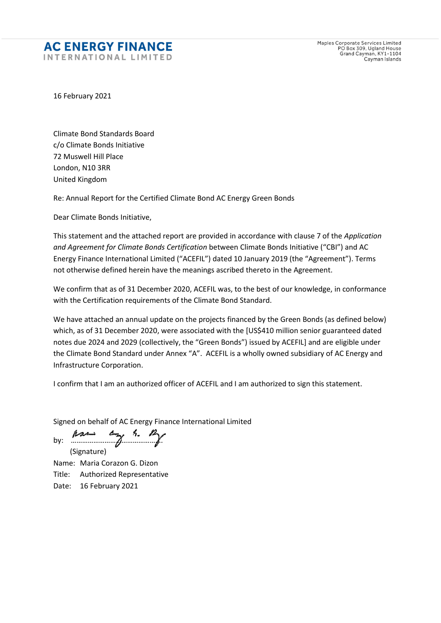## **AC ENERGY FINANCE** INTERNATIONAL LIMITED

Maples Corporate Services Limited<br>PO Box 309, Ugland House<br>Grand Cayman, KY1-1104 Cayman Islands

16 February 2021

Climate Bond Standards Board c/o Climate Bonds Initiative 72 Muswell Hill Place London, N10 3RR United Kingdom

Re: Annual Report for the Certified Climate Bond AC Energy Green Bonds

Dear Climate Bonds Initiative,

This statement and the attached report are provided in accordance with clause 7 of the *Application and Agreement for Climate Bonds Certification* between Climate Bonds Initiative ("CBI") and AC Energy Finance International Limited ("ACEFIL") dated 10 January 2019 (the "Agreement"). Terms not otherwise defined herein have the meanings ascribed thereto in the Agreement.

We confirm that as of 31 December 2020, ACEFIL was, to the best of our knowledge, in conformance with the Certification requirements of the Climate Bond Standard.

We have attached an annual update on the projects financed by the Green Bonds (as defined below) which, as of 31 December 2020, were associated with the [US\$410 million senior guaranteed dated notes due 2024 and 2029 (collectively, the "Green Bonds") issued by ACEFIL] and are eligible under the Climate Bond Standard under Annex "A". ACEFIL is a wholly owned subsidiary of AC Energy and Infrastructure Corporation.

I confirm that I am an authorized officer of ACEFIL and I am authorized to sign this statement.

Signed on behalf of AC Energy Finance International Limited

by:  $\hbar z \rightarrow z \rightarrow z$ (Signature)

Name: Maria Corazon G. Dizon Title: Authorized Representative Date: 16 February 2021